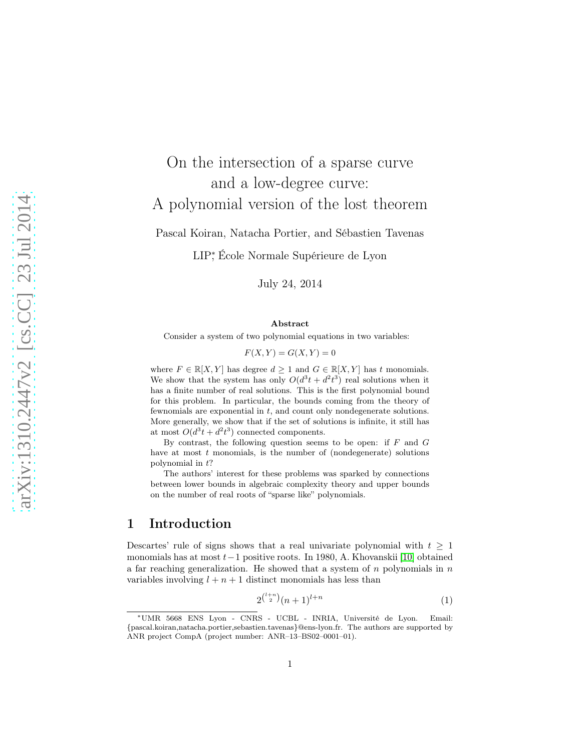# On the intersection of a sparse curve and a low-degree curve: A polynomial version of the lost theorem Pascal Koiran, Natacha Portier, and Sébastien Tavenas

LIP<sup>∗</sup> , École Normale Supérieure de Lyon

July 24, 2014

#### Abstract

Consider a system of two polynomial equations in two variables:

 $F(X, Y) = G(X, Y) = 0$ 

where  $F \in \mathbb{R}[X, Y]$  has degree  $d \geq 1$  and  $G \in \mathbb{R}[X, Y]$  has t monomials. We show that the system has only  $O(d^3t + d^2t^3)$  real solutions when it has a finite number of real solutions. This is the first polynomial bound for this problem. In particular, the bounds coming from the theory of fewnomials are exponential in t, and count only nondegenerate solutions. More generally, we show that if the set of solutions is infinite, it still has at most  $O(d^3t + d^2t^3)$  connected components.

By contrast, the following question seems to be open: if  $F$  and  $G$ have at most  $t$  monomials, is the number of (nondegenerate) solutions polynomial in  $t$ ?

The authors' interest for these problems was sparked by connections between lower bounds in algebraic complexity theory and upper bounds on the number of real roots of "sparse like" polynomials.

# 1 Introduction

Descartes' rule of signs shows that a real univariate polynomial with  $t \geq 1$ monomials has at most t−1 positive roots. In 1980, A. Khovanskii [\[10\]](#page-16-0) obtained a far reaching generalization. He showed that a system of  $n$  polynomials in  $n$ variables involving  $l + n + 1$  distinct monomials has less than

<span id="page-0-0"></span>
$$
2^{\binom{l+n}{2}}(n+1)^{l+n} \tag{1}
$$

<sup>∗</sup>UMR 5668 ENS Lyon - CNRS - UCBL - INRIA, Université de Lyon. Email: {pascal.koiran,natacha.portier,sebastien.tavenas}@ens-lyon.fr. The authors are supported by ANR project CompA (project number: ANR–13–BS02–0001–01).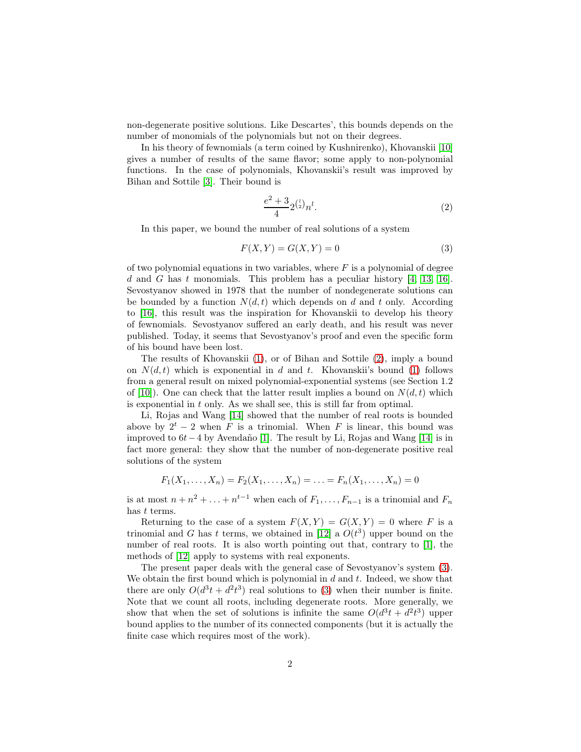non-degenerate positive solutions. Like Descartes', this bounds depends on the number of monomials of the polynomials but not on their degrees.

In his theory of fewnomials (a term coined by Kushnirenko), Khovanskii [\[10\]](#page-16-0) gives a number of results of the same flavor; some apply to non-polynomial functions. In the case of polynomials, Khovanskii's result was improved by Bihan and Sottile [\[3\]](#page-16-1). Their bound is

<span id="page-1-1"></span><span id="page-1-0"></span>
$$
\frac{e^2 + 3}{4} 2^{\binom{l}{2}} n^l. \tag{2}
$$

In this paper, we bound the number of real solutions of a system

$$
F(X,Y) = G(X,Y) = 0\tag{3}
$$

of two polynomial equations in two variables, where  $F$  is a polynomial of degree d and G has t monomials. This problem has a peculiar history  $[4, 13, 16]$  $[4, 13, 16]$  $[4, 13, 16]$ . Sevostyanov showed in 1978 that the number of nondegenerate solutions can be bounded by a function  $N(d, t)$  which depends on d and t only. According to [\[16\]](#page-17-0), this result was the inspiration for Khovanskii to develop his theory of fewnomials. Sevostyanov suffered an early death, and his result was never published. Today, it seems that Sevostyanov's proof and even the specific form of his bound have been lost.

The results of Khovanskii [\(1\)](#page-0-0), or of Bihan and Sottile [\(2\)](#page-1-0), imply a bound on  $N(d, t)$  which is exponential in d and t. Khovanskii's bound [\(1\)](#page-0-0) follows from a general result on mixed polynomial-exponential systems (see Section 1.2 of [\[10\]](#page-16-0)). One can check that the latter result implies a bound on  $N(d,t)$  which is exponential in t only. As we shall see, this is still far from optimal.

Li, Rojas and Wang [\[14\]](#page-16-4) showed that the number of real roots is bounded above by  $2^t - 2$  when F is a trinomial. When F is linear, this bound was improved to 6t−4 by Avendaño [\[1\]](#page-16-5). The result by Li, Rojas and Wang [\[14\]](#page-16-4) is in fact more general: they show that the number of non-degenerate positive real solutions of the system

$$
F_1(X_1, \ldots, X_n) = F_2(X_1, \ldots, X_n) = \ldots = F_n(X_1, \ldots, X_n) = 0
$$

is at most  $n + n^2 + \ldots + n^{t-1}$  when each of  $F_1, \ldots, F_{n-1}$  is a trinomial and  $F_n$ has t terms.

Returning to the case of a system  $F(X, Y) = G(X, Y) = 0$  where F is a trinomial and G has t terms, we obtained in [\[12\]](#page-16-6) a  $O(t^3)$  upper bound on the number of real roots. It is also worth pointing out that, contrary to [\[1\]](#page-16-5), the methods of [\[12\]](#page-16-6) apply to systems with real exponents.

The present paper deals with the general case of Sevostyanov's system [\(3\)](#page-1-1). We obtain the first bound which is polynomial in  $d$  and  $t$ . Indeed, we show that there are only  $O(d^3t + d^2t^3)$  real solutions to [\(3\)](#page-1-1) when their number is finite. Note that we count all roots, including degenerate roots. More generally, we show that when the set of solutions is infinite the same  $O(d^3t + d^2t^3)$  upper bound applies to the number of its connected components (but it is actually the finite case which requires most of the work).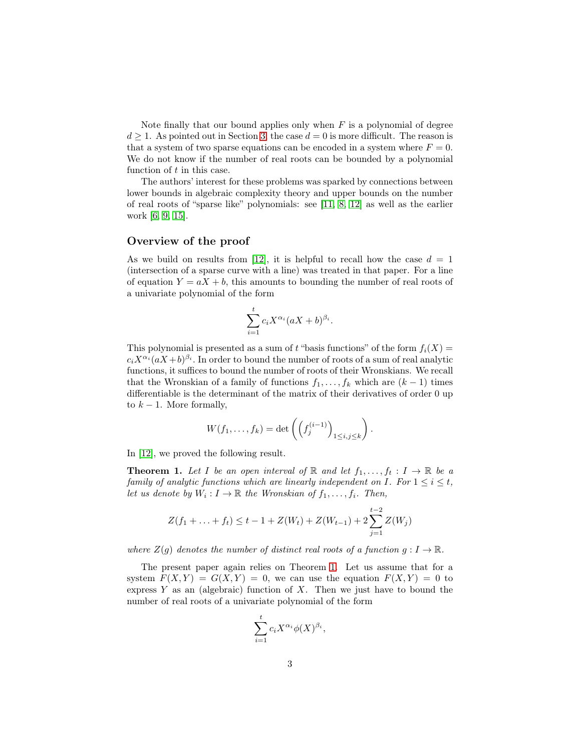Note finally that our bound applies only when  $F$  is a polynomial of degree  $d \geq 1$ . As pointed out in Section [3,](#page-10-0) the case  $d = 0$  is more difficult. The reason is that a system of two sparse equations can be encoded in a system where  $F = 0$ . We do not know if the number of real roots can be bounded by a polynomial function of t in this case.

The authors' interest for these problems was sparked by connections between lower bounds in algebraic complexity theory and upper bounds on the number of real roots of "sparse like" polynomials: see [\[11,](#page-16-7) [8,](#page-16-8) [12\]](#page-16-6) as well as the earlier work [\[6,](#page-16-9) [9,](#page-16-10) [15\]](#page-17-1).

#### Overview of the proof

As we build on results from [\[12\]](#page-16-6), it is helpful to recall how the case  $d = 1$ (intersection of a sparse curve with a line) was treated in that paper. For a line of equation  $Y = aX + b$ , this amounts to bounding the number of real roots of a univariate polynomial of the form

$$
\sum_{i=1}^{t} c_i X^{\alpha_i} (aX + b)^{\beta_i}.
$$

This polynomial is presented as a sum of t "basis functions" of the form  $f_i(X) =$  $c_i X^{\alpha_i} (a X + b)^{\beta_i}$ . In order to bound the number of roots of a sum of real analytic functions, it suffices to bound the number of roots of their Wronskians. We recall that the Wronskian of a family of functions  $f_1, \ldots, f_k$  which are  $(k-1)$  times differentiable is the determinant of the matrix of their derivatives of order 0 up to  $k-1$ . More formally,

$$
W(f_1,\ldots,f_k)=\det\left(\left(f_j^{(i-1)}\right)_{1\leq i,j\leq k}\right).
$$

In [\[12\]](#page-16-6), we proved the following result.

<span id="page-2-0"></span>**Theorem 1.** Let I be an open interval of R and let  $f_1, \ldots, f_t : I \to \mathbb{R}$  be a family of analytic functions which are linearly independent on I. For  $1 \leq i \leq t$ , let us denote by  $W_i: I \to \mathbb{R}$  the Wronskian of  $f_1, \ldots, f_i$ . Then,

$$
Z(f_1 + \ldots + f_t) \le t - 1 + Z(W_t) + Z(W_{t-1}) + 2\sum_{j=1}^{t-2} Z(W_j)
$$

where  $Z(q)$  denotes the number of distinct real roots of a function  $q: I \to \mathbb{R}$ .

The present paper again relies on Theorem [1.](#page-2-0) Let us assume that for a system  $F(X, Y) = G(X, Y) = 0$ , we can use the equation  $F(X, Y) = 0$  to express  $Y$  as an (algebraic) function of  $X$ . Then we just have to bound the number of real roots of a univariate polynomial of the form

$$
\sum_{i=1}^t c_i X^{\alpha_i} \phi(X)^{\beta_i},
$$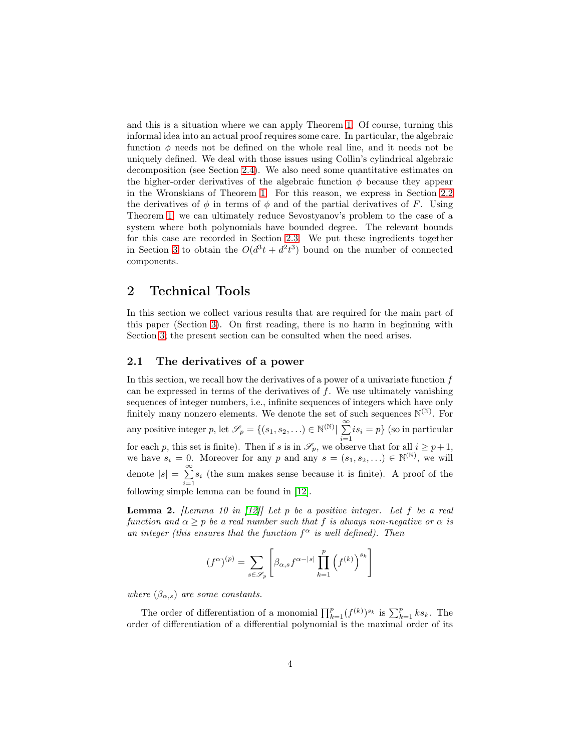and this is a situation where we can apply Theorem [1.](#page-2-0) Of course, turning this informal idea into an actual proof requires some care. In particular, the algebraic function  $\phi$  needs not be defined on the whole real line, and it needs not be uniquely defined. We deal with those issues using Collin's cylindrical algebraic decomposition (see Section [2.4\)](#page-9-0). We also need some quantitative estimates on the higher-order derivatives of the algebraic function  $\phi$  because they appear in the Wronskians of Theorem [1.](#page-2-0) For this reason, we express in Section [2.2](#page-4-0) the derivatives of  $\phi$  in terms of  $\phi$  and of the partial derivatives of F. Using Theorem [1,](#page-2-0) we can ultimately reduce Sevostyanov's problem to the case of a system where both polynomials have bounded degree. The relevant bounds for this case are recorded in Section [2.3.](#page-6-0) We put these ingredients together in Section [3](#page-10-0) to obtain the  $O(d^3t + d^2t^3)$  bound on the number of connected components.

# 2 Technical Tools

In this section we collect various results that are required for the main part of this paper (Section [3\)](#page-10-0). On first reading, there is no harm in beginning with Section [3;](#page-10-0) the present section can be consulted when the need arises.

#### 2.1 The derivatives of a power

In this section, we recall how the derivatives of a power of a univariate function  $f$ can be expressed in terms of the derivatives of  $f$ . We use ultimately vanishing sequences of integer numbers, i.e., infinite sequences of integers which have only finitely many nonzero elements. We denote the set of such sequences  $\mathbb{N}^{(\mathbb{N})}$ . For any positive integer p, let  $\mathscr{S}_p = \{(s_1, s_2, \ldots) \in \mathbb{N}^{(\mathbb{N})}\}\sum_{i=1}^{\infty}$  $\sum_{i=1}^{n} is_i = p$  (so in particular for each p, this set is finite). Then if s is in  $\mathscr{S}_p$ , we observe that for all  $i \geq p+1$ , we have  $s_i = 0$ . Moreover for any p and any  $s = (s_1, s_2, \ldots) \in \mathbb{N}^{(\mathbb{N})}$ , we will denote  $|s| = \sum_{n=1}^{\infty}$  $\sum_{i=1}$  *s<sub>i</sub>* (the sum makes sense because it is finite). A proof of the following simple lemma can be found in [\[12\]](#page-16-6).

<span id="page-3-0"></span>**Lemma 2.** [Lemma 10 in  $[12]$ ] Let p be a positive integer. Let f be a real function and  $\alpha \geq p$  be a real number such that f is always non-negative or  $\alpha$  is an integer (this ensures that the function  $f^{\alpha}$  is well defined). Then

$$
(f^{\alpha})^{(p)} = \sum_{s \in \mathscr{S}_p} \left[ \beta_{\alpha,s} f^{\alpha-|s|} \prod_{k=1}^p \left( f^{(k)} \right)^{s_k} \right]
$$

where  $(\beta_{\alpha,s})$  are some constants.

The order of differentiation of a monomial  $\prod_{k=1}^{p} (f^{(k)})^{s_k}$  is  $\sum_{k=1}^{p} ks_k$ . The order of differentiation of a differential polynomial is the maximal order of its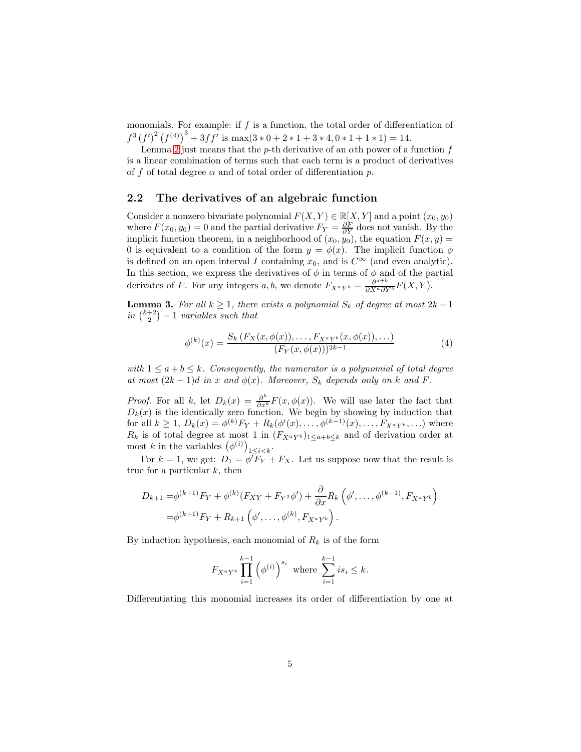monomials. For example: if  $f$  is a function, the total order of differentiation of  $f^{3}(f')^{2}(f^{(4)})^{3}+3ff'$  is max $(3*0+2*1+3*4,0*1+1*1)=14$ .

Lemma [2](#page-3-0) just means that the p-th derivative of an  $\alpha$ th power of a function f is a linear combination of terms such that each term is a product of derivatives of f of total degree  $\alpha$  and of total order of differentiation p.

#### <span id="page-4-0"></span>2.2 The derivatives of an algebraic function

Consider a nonzero bivariate polynomial  $F(X, Y) \in \mathbb{R}[X, Y]$  and a point  $(x_0, y_0)$ where  $F(x_0, y_0) = 0$  and the partial derivative  $F_Y = \frac{\partial F}{\partial Y}$  does not vanish. By the implicit function theorem, in a neighborhood of  $(x_0, y_0)$ , the equation  $F(x, y) =$ 0 is equivalent to a condition of the form  $y = \phi(x)$ . The implicit function  $\phi$ is defined on an open interval I containing  $x_0$ , and is  $C^{\infty}$  (and even analytic). In this section, we express the derivatives of  $\phi$  in terms of  $\phi$  and of the partial derivates of F. For any integers a, b, we denote  $F_{X^aY^b} = \frac{\partial^{a+b}}{\partial X^a \partial Y^b} F(X, Y)$ .

<span id="page-4-2"></span>**Lemma 3.** For all  $k \geq 1$ , there exists a polynomial  $S_k$  of degree at most  $2k - 1$ in  $\binom{k+2}{2} - 1$  variables such that

<span id="page-4-1"></span>
$$
\phi^{(k)}(x) = \frac{S_k(F_X(x, \phi(x)), \dots, F_{X^a Y^b}(x, \phi(x)), \dots)}{(F_Y(x, \phi(x)))^{2k-1}} \tag{4}
$$

with  $1 \le a + b \le k$ . Consequently, the numerator is a polynomial of total degree at most  $(2k-1)d$  in x and  $\phi(x)$ . Moreover,  $S_k$  depends only on k and F.

*Proof.* For all k, let  $D_k(x) = \frac{\partial^k}{\partial x^k} F(x, \phi(x))$ . We will use later the fact that  $D_k(x)$  is the identically zero function. We begin by showing by induction that for all  $k \ge 1$ ,  $D_k(x) = \phi^{(k)} F_Y + R_k(\phi'(x), \dots, \phi^{(k-1)}(x), \dots, F_{X^a Y^b}, \dots)$  where  $R_k$  is of total degree at most 1 in  $(F_{X^aY^b})_{1\leq a+b\leq k}$  and of derivation order at most k in the variables  $(\phi^{(i)})_{1 \leq i \leq k}$ .

For  $k = 1$ , we get:  $D_1 = \phi' \overline{F}_Y + F_X$ . Let us suppose now that the result is true for a particular  $k$ , then

$$
D_{k+1} = \phi^{(k+1)} F_Y + \phi^{(k)}(F_{XY} + F_{Y^2} \phi') + \frac{\partial}{\partial x} R_k \left( \phi', \dots, \phi^{(k-1)}, F_{X^a Y^b} \right)
$$
  
=  $\phi^{(k+1)} F_Y + R_{k+1} \left( \phi', \dots, \phi^{(k)}, F_{X^a Y^b} \right).$ 

By induction hypothesis, each monomial of  $R_k$  is of the form

$$
F_{X^a Y^b} \prod_{i=1}^{k-1} \left(\phi^{(i)}\right)^{s_i} \text{ where } \sum_{i=1}^{k-1} i s_i \leq k.
$$

Differentiating this monomial increases its order of differentiation by one at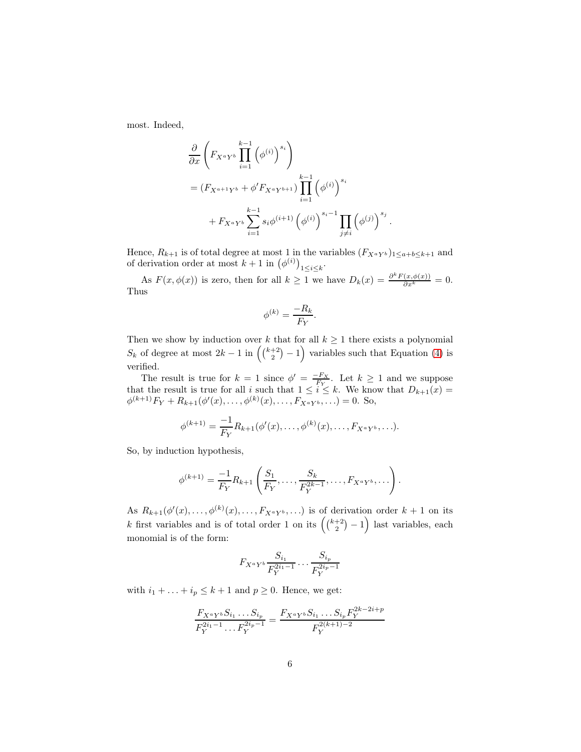most. Indeed,

$$
\frac{\partial}{\partial x} \left( F_{X^a Y^b} \prod_{i=1}^{k-1} (\phi^{(i)})^{s_i} \right)
$$
\n
$$
= (F_{X^{a+1}Y^b} + \phi' F_{X^a Y^{b+1}}) \prod_{i=1}^{k-1} (\phi^{(i)})^{s_i}
$$
\n
$$
+ F_{X^a Y^b} \sum_{i=1}^{k-1} s_i \phi^{(i+1)} (\phi^{(i)})^{s_i-1} \prod_{j \neq i} (\phi^{(j)})^{s_j}.
$$

Hence,  $R_{k+1}$  is of total degree at most 1 in the variables  $(F_{X^a Y^b})_{1 \leq a+b\leq k+1}$  and of derivation order at most  $k+1$  in  $(\phi^{(i)})_{1\leq i\leq k}$ .

As  $F(x, \phi(x))$  is zero, then for all  $k \geq 1$  we have  $D_k(x) = \frac{\partial^k F(x, \phi(x))}{\partial x^k} = 0$ . Thus

$$
\phi^{(k)} = \frac{-R_k}{F_Y}.
$$

Then we show by induction over k that for all  $k \geq 1$  there exists a polynomial  $S_k$  of degree at most  $2k-1$  in  $\left(\binom{k+2}{2}-1\right)$  variables such that Equation [\(4\)](#page-4-1) is verified.

The result is true for  $k = 1$  since  $\phi' = \frac{-F_X}{F_Y}$ . Let  $k \ge 1$  and we suppose that the result is true for all i such that  $1 \leq i \leq k$ . We know that  $D_{k+1}(x) =$  $\phi^{(k+1)}F_Y + R_{k+1}(\phi'(x), \ldots, \phi^{(k)}(x), \ldots, F_{X^aY^b}, \ldots) = 0.$  So,

$$
\phi^{(k+1)} = \frac{-1}{F_Y} R_{k+1}(\phi'(x), \dots, \phi^{(k)}(x), \dots, F_{X^a Y^b}, \dots).
$$

So, by induction hypothesis,

$$
\phi^{(k+1)} = \frac{-1}{F_Y} R_{k+1} \left( \frac{S_1}{F_Y}, \dots, \frac{S_k}{F_Y^{2k-1}}, \dots, F_{X^a Y^b}, \dots \right).
$$

As  $R_{k+1}(\phi'(x),\ldots,\phi^{(k)}(x),\ldots,F_{X^aY^b},\ldots)$  is of derivation order  $k+1$  on its k first variables and is of total order 1 on its  $((\binom{k+2}{2}-1)$  last variables, each monomial is of the form:

$$
F_{X^a Y^b} \frac{S_{i_1}}{F_Y^{2i_1-1}} \cdots \frac{S_{i_p}}{F_Y^{2i_p-1}}
$$

with  $i_1 + \ldots + i_p \leq k+1$  and  $p \geq 0$ . Hence, we get:

$$
\frac{F_{X^a Y^b} S_{i_1} \dots S_{i_p}}{F_{Y}^{2i_1 - 1} \dots F_{Y}^{2i_p - 1}} = \frac{F_{X^a Y^b} S_{i_1} \dots S_{i_p} F_{Y}^{2k - 2i + p}}{F_{Y}^{2(k+1) - 2}}
$$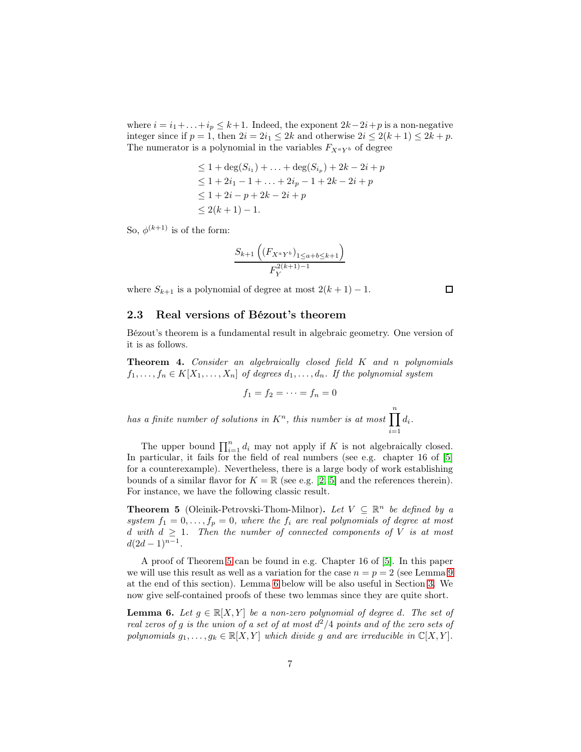where  $i = i_1 + \ldots + i_p \leq k+1$ . Indeed, the exponent  $2k-2i+p$  is a non-negative integer since if  $p = 1$ , then  $2i = 2i_1 \leq 2k$  and otherwise  $2i \leq 2(k+1) \leq 2k + p$ . The numerator is a polynomial in the variables  $F_{X^a Y^b}$  of degree

$$
\leq 1 + \deg(S_{i_1}) + \dots + \deg(S_{i_p}) + 2k - 2i + p
$$
  
\n
$$
\leq 1 + 2i_1 - 1 + \dots + 2i_p - 1 + 2k - 2i + p
$$
  
\n
$$
\leq 1 + 2i - p + 2k - 2i + p
$$
  
\n
$$
\leq 2(k + 1) - 1.
$$

So,  $\phi^{(k+1)}$  is of the form:

$$
\frac{S_{k+1}\left((F_{X^a Y^b})_{1 \le a+b \le k+1}\right)}{F_Y^{2(k+1)-1}}
$$

where  $S_{k+1}$  is a polynomial of degree at most  $2(k+1) - 1$ .

 $\Box$ 

#### <span id="page-6-0"></span>2.3 Real versions of Bézout's theorem

Bézout's theorem is a fundamental result in algebraic geometry. One version of it is as follows.

Theorem 4. Consider an algebraically closed field K and n polynomials  $f_1, \ldots, f_n \in K[X_1, \ldots, X_n]$  of degrees  $d_1, \ldots, d_n$ . If the polynomial system

$$
f_1=f_2=\cdots=f_n=0
$$

has a finite number of solutions in  $K<sup>n</sup>$ , this number is at most  $\prod_{i=1}^{n} d_i$ .  $i=1$ 

The upper bound  $\prod_{i=1}^{n} d_i$  may not apply if K is not algebraically closed. In particular, it fails for the field of real numbers (see e.g. chapter 16 of [\[5\]](#page-16-11) for a counterexample). Nevertheless, there is a large body of work establishing bounds of a similar flavor for  $K = \mathbb{R}$  (see e.g. [\[2,](#page-16-12) [5\]](#page-16-11) and the references therein). For instance, we have the following classic result.

<span id="page-6-1"></span>**Theorem 5** (Oleinik-Petrovski-Thom-Milnor). Let  $V \subseteq \mathbb{R}^n$  be defined by a system  $f_1 = 0, \ldots, f_p = 0$ , where the  $f_i$  are real polynomials of degree at most d with  $d \geq 1$ . Then the number of connected components of V is at most  $d(2d-1)^{n-1}.$ 

A proof of Theorem [5](#page-6-1) can be found in e.g. Chapter 16 of [\[5\]](#page-16-11). In this paper we will use this result as well as a variation for the case  $n = p = 2$  (see Lemma [9](#page-8-0)) at the end of this section). Lemma [6](#page-6-2) below will be also useful in Section [3.](#page-10-0) We now give self-contained proofs of these two lemmas since they are quite short.

<span id="page-6-2"></span>**Lemma 6.** Let  $g \in \mathbb{R}[X, Y]$  be a non-zero polynomial of degree d. The set of real zeros of g is the union of a set of at most  $d^2/4$  points and of the zero sets of polynomials  $g_1, \ldots, g_k \in \mathbb{R}[X, Y]$  which divide g and are irreducible in  $\mathbb{C}[X, Y]$ .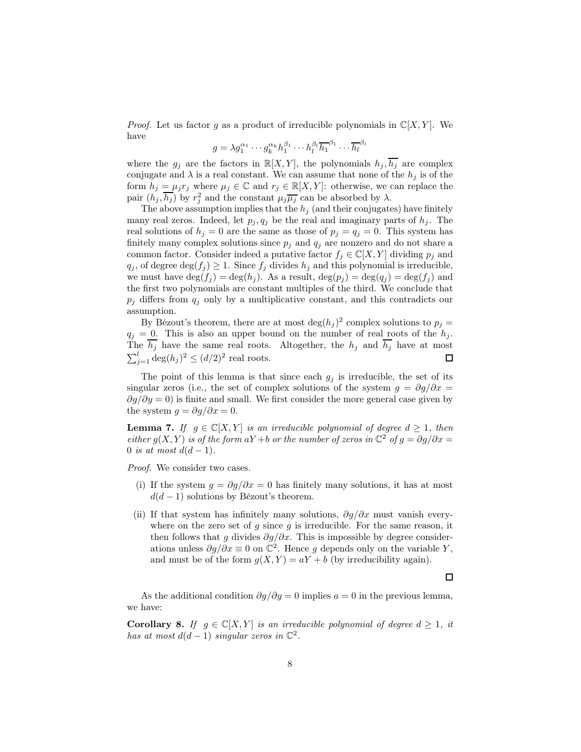*Proof.* Let us factor g as a product of irreducible polynomials in  $\mathbb{C}[X, Y]$ . We have

$$
g = \lambda g_1^{\alpha_1} \cdots g_k^{\alpha_k} h_1^{\beta_1} \cdots h_l^{\beta_l} \overline{h_1}^{\beta_1} \cdots \overline{h_l}^{\beta_l}
$$

where the  $g_j$  are the factors in  $\mathbb{R}[X, Y]$ , the polynomials  $h_j, h_j$  are complex conjugate and  $\lambda$  is a real constant. We can assume that none of the  $h_j$  is of the form  $h_j = \mu_j r_j$  where  $\mu_j \in \mathbb{C}$  and  $r_j \in \mathbb{R}[X, Y]$ : otherwise, we can replace the pair  $(h_j, \overline{h_j})$  by  $r_j^2$  and the constant  $\mu_j \overline{\mu_j}$  can be absorbed by  $\lambda$ .

The above assumption implies that the  $h_i$  (and their conjugates) have finitely many real zeros. Indeed, let  $p_i, q_j$  be the real and imaginary parts of  $h_i$ . The real solutions of  $h_i = 0$  are the same as those of  $p_i = q_i = 0$ . This system has finitely many complex solutions since  $p_j$  and  $q_j$  are nonzero and do not share a common factor. Consider indeed a putative factor  $f_i \in \mathbb{C}[X, Y]$  dividing  $p_i$  and  $q_j$ , of degree  $\deg(f_j) \geq 1$ . Since  $f_j$  divides  $h_j$  and this polynomial is irreducible, we must have  $\deg(f_i) = \deg(h_i)$ . As a result,  $\deg(p_i) = \deg(q_i) = \deg(f_i)$  and the first two polynomials are constant multiples of the third. We conclude that  $p_i$  differs from  $q_i$  only by a multiplicative constant, and this contradicts our assumption.

By Bézout's theorem, there are at most  $\deg(h_j)^2$  complex solutions to  $p_j =$  $q_j = 0$ . This is also an upper bound on the number of real roots of the  $h_j$ . The  $\overline{h_j}$  have the same real roots. Altogether, the  $h_j$  and  $\overline{h_j}$  have at most  $\sum_{j=1}^l \deg(h_j)^2 \leq (d/2)^2$  real roots.  $\Box$ 

The point of this lemma is that since each  $g_j$  is irreducible, the set of its singular zeros (i.e., the set of complex solutions of the system  $q = \partial q/\partial x =$  $\partial g/\partial y = 0$ ) is finite and small. We first consider the more general case given by the system  $q = \partial q / \partial x = 0$ .

**Lemma 7.** If  $g \in \mathbb{C}[X, Y]$  is an irreducible polynomial of degree  $d \geq 1$ , then either  $g(X,Y)$  is of the form  $aY + b$  or the number of zeros in  $\mathbb{C}^2$  of  $g = \partial g / \partial x =$ 0 is at most  $d(d-1)$ .

Proof. We consider two cases.

- (i) If the system  $g = \partial g / \partial x = 0$  has finitely many solutions, it has at most  $d(d-1)$  solutions by Bézout's theorem.
- (ii) If that system has infinitely many solutions,  $\partial g/\partial x$  must vanish everywhere on the zero set of  $g$  since  $g$  is irreducible. For the same reason, it then follows that g divides  $\partial g/\partial x$ . This is impossible by degree considerations unless  $\partial g/\partial x \equiv 0$  on  $\mathbb{C}^2$ . Hence g depends only on the variable Y, and must be of the form  $g(X, Y) = aY + b$  (by irreducibility again).

As the additional condition  $\partial g/\partial y = 0$  implies  $a = 0$  in the previous lemma, we have:

<span id="page-7-0"></span>**Corollary 8.** If  $g \in \mathbb{C}[X, Y]$  is an irreducible polynomial of degree  $d \geq 1$ , it has at most  $d(d-1)$  singular zeros in  $\mathbb{C}^2$ .

 $\Box$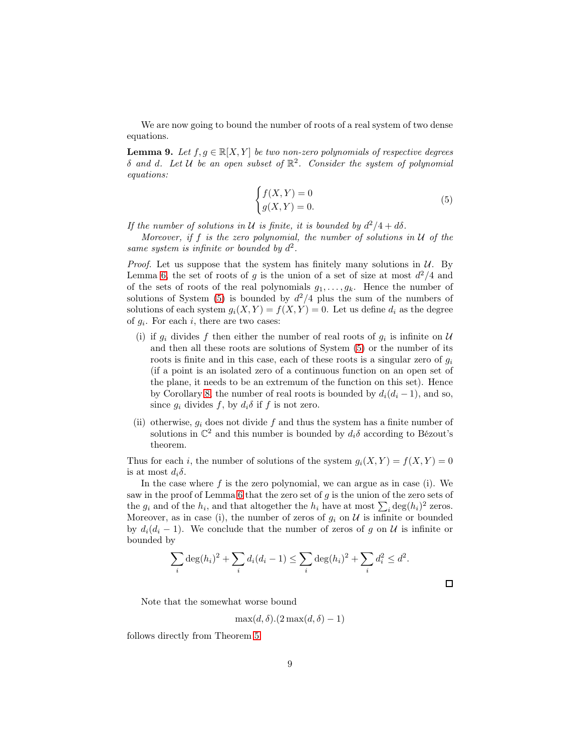We are now going to bound the number of roots of a real system of two dense equations.

<span id="page-8-0"></span>**Lemma 9.** Let  $f, g \in \mathbb{R}[X, Y]$  be two non-zero polynomials of respective degrees  $\delta$  and d. Let U be an open subset of  $\mathbb{R}^2$ . Consider the system of polynomial equations:

<span id="page-8-1"></span>
$$
\begin{cases} f(X,Y) = 0\\ g(X,Y) = 0. \end{cases}
$$
\n(5)

If the number of solutions in U is finite, it is bounded by  $d^2/4 + d\delta$ .

Moreover, if f is the zero polynomial, the number of solutions in  $U$  of the same system is infinite or bounded by  $d^2$ .

*Proof.* Let us suppose that the system has finitely many solutions in  $U$ . By Lemma [6,](#page-6-2) the set of roots of g is the union of a set of size at most  $d^2/4$  and of the sets of roots of the real polynomials  $g_1, \ldots, g_k$ . Hence the number of solutions of System  $(5)$  is bounded by  $d^2/4$  plus the sum of the numbers of solutions of each system  $g_i(X, Y) = f(X, Y) = 0$ . Let us define  $d_i$  as the degree of  $g_i$ . For each i, there are two cases:

- (i) if  $g_i$  divides f then either the number of real roots of  $g_i$  is infinite on U and then all these roots are solutions of System [\(5\)](#page-8-1) or the number of its roots is finite and in this case, each of these roots is a singular zero of  $q_i$ (if a point is an isolated zero of a continuous function on an open set of the plane, it needs to be an extremum of the function on this set). Hence by Corollary [8,](#page-7-0) the number of real roots is bounded by  $d_i(d_i - 1)$ , and so, since  $g_i$  divides f, by  $d_i\delta$  if f is not zero.
- (ii) otherwise,  $g_i$  does not divide f and thus the system has a finite number of solutions in  $\mathbb{C}^2$  and this number is bounded by  $d_i \delta$  according to Bézout's theorem.

Thus for each i, the number of solutions of the system  $g_i(X, Y) = f(X, Y) = 0$ is at most  $d_i\delta$ .

In the case where  $f$  is the zero polynomial, we can argue as in case (i). We saw in the proof of Lemma [6](#page-6-2) that the zero set of  $g$  is the union of the zero sets of the  $g_i$  and of the  $h_i$ , and that altogether the  $h_i$  have at most  $\sum_i \text{deg}(h_i)^2$  zeros. Moreover, as in case (i), the number of zeros of  $g_i$  on  $\mathcal U$  is infinite or bounded by  $d_i(d_i - 1)$ . We conclude that the number of zeros of g on U is infinite or bounded by

$$
\sum_{i} \deg(h_i)^2 + \sum_{i} d_i (d_i - 1) \le \sum_{i} \deg(h_i)^2 + \sum_{i} d_i^2 \le d^2.
$$

 $\Box$ 

Note that the somewhat worse bound

$$
\max(d,\delta).(2\max(d,\delta)-1)
$$

follows directly from Theorem [5.](#page-6-1)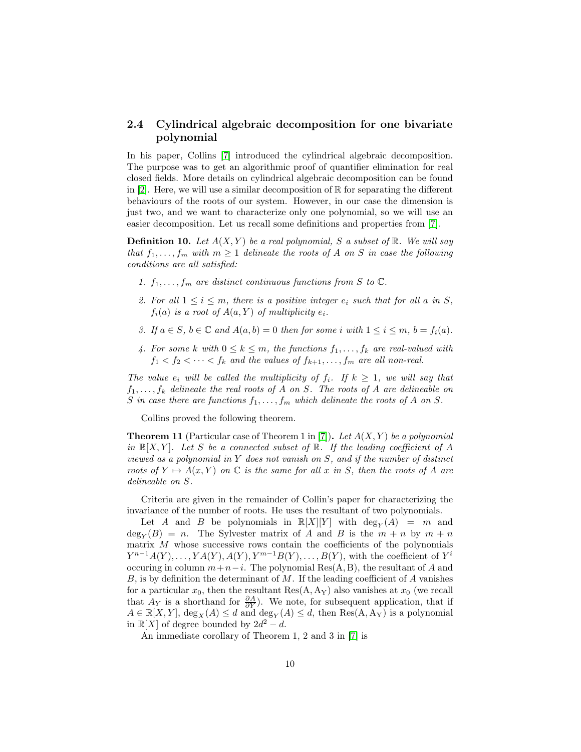### <span id="page-9-0"></span>2.4 Cylindrical algebraic decomposition for one bivariate polynomial

In his paper, Collins [\[7\]](#page-16-13) introduced the cylindrical algebraic decomposition. The purpose was to get an algorithmic proof of quantifier elimination for real closed fields. More details on cylindrical algebraic decomposition can be found in [\[2\]](#page-16-12). Here, we will use a similar decomposition of  $\mathbb R$  for separating the different behaviours of the roots of our system. However, in our case the dimension is just two, and we want to characterize only one polynomial, so we will use an easier decomposition. Let us recall some definitions and properties from [\[7\]](#page-16-13).

**Definition 10.** Let  $A(X, Y)$  be a real polynomial, S a subset of R. We will say that  $f_1, \ldots, f_m$  with  $m \geq 1$  delineate the roots of A on S in case the following conditions are all satisfied:

- 1.  $f_1, \ldots, f_m$  are distinct continuous functions from S to  $\mathbb C$ .
- 2. For all  $1 \leq i \leq m$ , there is a positive integer  $e_i$  such that for all a in S,  $f_i(a)$  is a root of  $A(a, Y)$  of multiplicity  $e_i$ .
- 3. If  $a \in S$ ,  $b \in \mathbb{C}$  and  $A(a, b) = 0$  then for some i with  $1 \leq i \leq m$ ,  $b = f_i(a)$ .
- 4. For some k with  $0 \leq k \leq m$ , the functions  $f_1, \ldots, f_k$  are real-valued with  $f_1 < f_2 < \cdots < f_k$  and the values of  $f_{k+1}, \ldots, f_m$  are all non-real.

The value  $e_i$  will be called the multiplicity of  $f_i$ . If  $k \geq 1$ , we will say that  $f_1, \ldots, f_k$  delineate the real roots of A on S. The roots of A are delineable on S in case there are functions  $f_1, \ldots, f_m$  which delineate the roots of A on S.

Collins proved the following theorem.

**Theorem 11** (Particular case of Theorem 1 in [\[7\]](#page-16-13)). Let  $A(X, Y)$  be a polynomial in  $\mathbb{R}[X, Y]$ . Let S be a connected subset of  $\mathbb{R}$ . If the leading coefficient of A viewed as a polynomial in  $Y$  does not vanish on  $S$ , and if the number of distinct roots of  $Y \mapsto A(x, Y)$  on  $\mathbb C$  is the same for all x in S, then the roots of A are delineable on S.

Criteria are given in the remainder of Collin's paper for characterizing the invariance of the number of roots. He uses the resultant of two polynomials.

Let A and B be polynomials in  $\mathbb{R}[X][Y]$  with  $\deg_Y(A) = m$  and  $\deg_Y(B) = n$ . The Sylvester matrix of A and B is the  $m + n$  by  $m + n$ matrix  $M$  whose successive rows contain the coefficients of the polynomials  $Y^{n-1}A(Y), \ldots, YA(Y), A(Y), Y^{m-1}B(Y), \ldots, B(Y)$ , with the coefficient of  $Y^i$ occuring in column  $m+n-i$ . The polynomial Res(A, B), the resultant of A and  $B$ , is by definition the determinant of  $M$ . If the leading coefficient of  $A$  vanishes for a particular  $x_0$ , then the resultant Res(A, A<sub>Y</sub>) also vanishes at  $x_0$  (we recall that  $A_Y$  is a shorthand for  $\frac{\partial A}{\partial Y}$ . We note, for subsequent application, that if  $A \in \mathbb{R}[X, Y]$ ,  $\deg_X(A) \leq d$  and  $\deg_Y(A) \leq d$ , then  $\text{Res}(A, A_Y)$  is a polynomial in  $\mathbb{R}[X]$  of degree bounded by  $2d^2 - d$ .

An immediate corollary of Theorem 1, 2 and 3 in [\[7\]](#page-16-13) is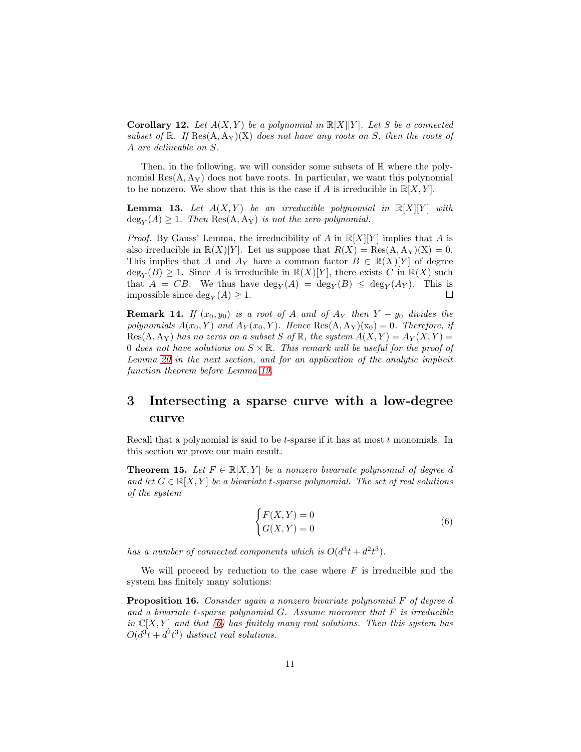<span id="page-10-5"></span>**Corollary 12.** Let  $A(X, Y)$  be a polynomial in  $\mathbb{R}[X][Y]$ . Let S be a connected subset of  $\mathbb{R}$ . If  $\text{Res}(A, A_Y)(X)$  does not have any roots on S, then the roots of A are delineable on S.

Then, in the following, we will consider some subsets of  $\mathbb R$  where the polynomial  $Res(A, A_Y)$  does not have roots. In particular, we want this polynomial to be nonzero. We show that this is the case if A is irreducible in  $\mathbb{R}[X, Y]$ .

<span id="page-10-4"></span>**Lemma 13.** Let  $A(X, Y)$  be an irreducible polynomial in  $\mathbb{R}[X][Y]$  with  $deg_Y(A) \geq 1$ . Then  $Res(A, A_Y)$  is not the zero polynomial.

*Proof.* By Gauss' Lemma, the irreducibility of A in  $\mathbb{R}[X][Y]$  implies that A is also irreducible in  $\mathbb{R}(X)[Y]$ . Let us suppose that  $R(X) = \text{Res}(A, A_Y)(X) = 0$ . This implies that A and A<sub>Y</sub> have a common factor  $B \in \mathbb{R}(X)[Y]$  of degree  $\deg_Y(B) \geq 1$ . Since A is irreducible in  $\mathbb{R}(X)[Y]$ , there exists C in  $\mathbb{R}(X)$  such that  $A = CB$ . We thus have  $\deg_Y(A) = \deg_Y(B) \leq \deg_Y(A_Y)$ . This is impossible since  $\deg_Y(A) \geq 1$ . 口

<span id="page-10-6"></span>**Remark 14.** If  $(x_0, y_0)$  is a root of A and of A<sub>Y</sub> then Y – y<sub>0</sub> divides the polynomials  $A(x_0, Y)$  and  $A_Y(x_0, Y)$ . Hence Res(A, A<sub>Y</sub>)(x<sub>0</sub>) = 0. Therefore, if  $Res(A, A_Y)$  has no zeros on a subset S of R, the system  $A(X, Y) = A_Y(X, Y) =$ 0 does not have solutions on  $S \times \mathbb{R}$ . This remark will be useful for the proof of Lemma [20](#page-13-0) in the next section, and for an application of the analytic implicit function theorem before Lemma [19.](#page-12-0)

# <span id="page-10-0"></span>3 Intersecting a sparse curve with a low-degree curve

Recall that a polynomial is said to be t-sparse if it has at most  $t$  monomials. In this section we prove our main result.

<span id="page-10-2"></span>**Theorem 15.** Let  $F \in \mathbb{R}[X, Y]$  be a nonzero bivariate polynomial of degree d and let  $G \in \mathbb{R}[X, Y]$  be a bivariate t-sparse polynomial. The set of real solutions of the system

<span id="page-10-1"></span>
$$
\begin{cases} F(X,Y) = 0\\ G(X,Y) = 0 \end{cases}
$$
\n(6)

has a number of connected components which is  $O(d^3t + d^2t^3)$ .

We will proceed by reduction to the case where  $F$  is irreducible and the system has finitely many solutions:

<span id="page-10-3"></span>Proposition 16. Consider again a nonzero bivariate polynomial F of degree d and a bivariate t-sparse polynomial  $G$ . Assume moreover that  $F$  is irreducible in  $\mathbb{C}[X, Y]$  and that [\(6\)](#page-10-1) has finitely many real solutions. Then this system has  $O(d^3t + d^2t^3)$  distinct real solutions.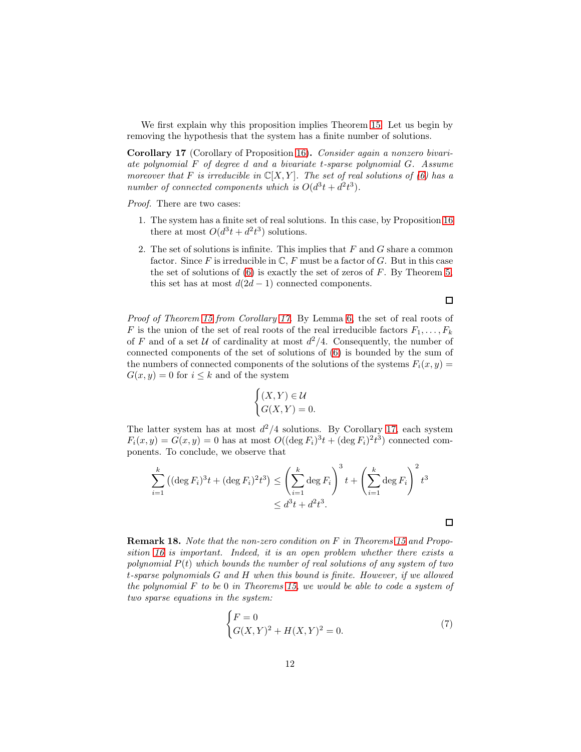We first explain why this proposition implies Theorem [15.](#page-10-2) Let us begin by removing the hypothesis that the system has a finite number of solutions.

<span id="page-11-0"></span>Corollary 17 (Corollary of Proposition [16\)](#page-10-3). Consider again a nonzero bivariate polynomial F of degree d and a bivariate t-sparse polynomial G. Assume moreover that F is irreducible in  $\mathbb{C}[X, Y]$ . The set of real solutions of [\(6\)](#page-10-1) has a number of connected components which is  $O(d^3t + d^2t^3)$ .

Proof. There are two cases:

- 1. The system has a finite set of real solutions. In this case, by Proposition [16](#page-10-3) there at most  $O(d^3t + d^2t^3)$  solutions.
- 2. The set of solutions is infinite. This implies that  $F$  and  $G$  share a common factor. Since F is irreducible in  $\mathbb{C}, F$  must be a factor of G. But in this case the set of solutions of  $(6)$  is exactly the set of zeros of F. By Theorem [5,](#page-6-1) this set has at most  $d(2d-1)$  connected components.

Proof of Theorem [15](#page-10-2) from Corollary [17.](#page-11-0) By Lemma [6,](#page-6-2) the set of real roots of F is the union of the set of real roots of the real irreducible factors  $F_1, \ldots, F_k$ of F and of a set U of cardinality at most  $d^2/4$ . Consequently, the number of connected components of the set of solutions of [\(6\)](#page-10-1) is bounded by the sum of the numbers of connected components of the solutions of the systems  $F_i(x, y) =$  $G(x, y) = 0$  for  $i \leq k$  and of the system

$$
\begin{cases} (X,Y) \in \mathcal{U} \\ G(X,Y) = 0. \end{cases}
$$

The latter system has at most  $d^2/4$  solutions. By Corollary [17,](#page-11-0) each system  $F_i(x, y) = G(x, y) = 0$  has at most  $O((\deg F_i)^3 t + (\deg F_i)^2 t^3)$  connected components. To conclude, we observe that

$$
\sum_{i=1}^{k} ((\deg F_i)^3 t + (\deg F_i)^2 t^3) \le \left(\sum_{i=1}^{k} \deg F_i\right)^3 t + \left(\sum_{i=1}^{k} \deg F_i\right)^2 t^3
$$
  

$$
\le d^3 t + d^2 t^3.
$$

Remark 18. Note that the non-zero condition on F in Theorems [15](#page-10-2) and Proposition [16](#page-10-3) is important. Indeed, it is an open problem whether there exists a polynomial  $P(t)$  which bounds the number of real solutions of any system of two t-sparse polynomials G and H when this bound is finite. However, if we allowed the polynomial  $F$  to be 0 in Theorems [15,](#page-10-2) we would be able to code a system of two sparse equations in the system:

$$
\begin{cases} F = 0\\ G(X,Y)^2 + H(X,Y)^2 = 0. \end{cases} (7)
$$

 $\Box$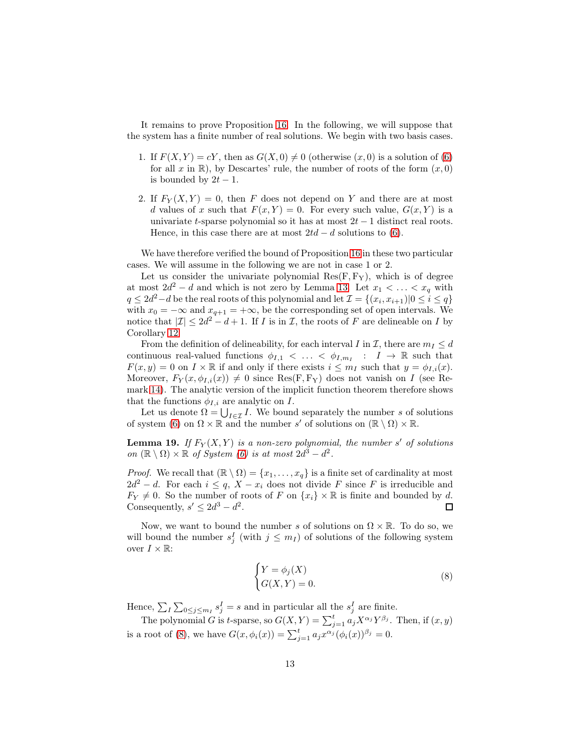It remains to prove Proposition [16.](#page-10-3) In the following, we will suppose that the system has a finite number of real solutions. We begin with two basis cases.

- 1. If  $F(X, Y) = cY$ , then as  $G(X, 0) \neq 0$  (otherwise  $(x, 0)$  is a solution of [\(6\)](#page-10-1) for all x in R), by Descartes' rule, the number of roots of the form  $(x, 0)$ is bounded by  $2t-1$ .
- 2. If  $F_Y(X, Y) = 0$ , then F does not depend on Y and there are at most d values of x such that  $F(x, Y) = 0$ . For every such value,  $G(x, Y)$  is a univariate t-sparse polynomial so it has at most  $2t - 1$  distinct real roots. Hence, in this case there are at most  $2td - d$  solutions to [\(6\)](#page-10-1).

We have therefore verified the bound of Proposition [16](#page-10-3) in these two particular cases. We will assume in the following we are not in case 1 or 2.

Let us consider the univariate polynomial  $Res(F, F_Y)$ , which is of degree at most  $2d^2 - d$  and which is not zero by Lemma [13.](#page-10-4) Let  $x_1 < \ldots < x_q$  with  $q \leq 2d^2 - d$  be the real roots of this polynomial and let  $\mathcal{I} = \{(x_i, x_{i+1}) | 0 \leq i \leq q\}$ with  $x_0 = -\infty$  and  $x_{q+1} = +\infty$ , be the corresponding set of open intervals. We notice that  $|\mathcal{I}| \leq 2d^2 - d + 1$ . If I is in I, the roots of F are delineable on I by Corollary [12.](#page-10-5)

From the definition of delineability, for each interval I in I, there are  $m_I \leq d$ continuous real-valued functions  $\phi_{I,1} < \ldots < \phi_{I,m_I}$  :  $I \to \mathbb{R}$  such that  $F(x, y) = 0$  on  $I \times \mathbb{R}$  if and only if there exists  $i \leq m_I$  such that  $y = \phi_{I,i}(x)$ . Moreover,  $F_Y(x, \phi_{I,i}(x)) \neq 0$  since Res(F, F<sub>Y</sub>) does not vanish on I (see Remark [14\)](#page-10-6). The analytic version of the implicit function theorem therefore shows that the functions  $\phi_{I,i}$  are analytic on I.

Let us denote  $\Omega = \bigcup_{I \in \mathcal{I}} I$ . We bound separately the number s of solutions of system [\(6\)](#page-10-1) on  $\Omega \times \mathbb{R}$  and the number s' of solutions on  $(\mathbb{R} \setminus \Omega) \times \mathbb{R}$ .

<span id="page-12-0"></span>**Lemma 19.** If  $F_Y(X, Y)$  is a non-zero polynomial, the number s' of solutions on  $(\mathbb{R} \setminus \Omega) \times \mathbb{R}$  of System [\(6\)](#page-10-1) is at most  $2d^3 - d^2$ .

*Proof.* We recall that  $(\mathbb{R} \setminus \Omega) = \{x_1, \ldots, x_q\}$  is a finite set of cardinality at most  $2d^2 - d$ . For each  $i \leq q$ ,  $X - x_i$  does not divide F since F is irreducible and  $F_Y \neq 0$ . So the number of roots of F on  $\{x_i\} \times \mathbb{R}$  is finite and bounded by d. Consequently,  $s' \leq 2d^3 - d^2$ .  $\Box$ 

Now, we want to bound the number s of solutions on  $\Omega \times \mathbb{R}$ . To do so, we will bound the number  $s_j^I$  (with  $j \leq m_I$ ) of solutions of the following system over  $I \times \mathbb{R}$ :

<span id="page-12-1"></span>
$$
\begin{cases} Y = \phi_j(X) \\ G(X, Y) = 0. \end{cases} \tag{8}
$$

Hence,  $\sum_{I} \sum_{0 \le j \le m_I} s_j^I = s$  and in particular all the  $s_j^I$  are finite.

The polynomial G is t-sparse, so  $G(X,Y) = \sum_{j=1}^{t} a_j X^{\alpha_j} Y^{\beta_j}$ . Then, if  $(x, y)$ is a root of [\(8\)](#page-12-1), we have  $G(x, \phi_i(x)) = \sum_{j=1}^t a_j x^{\alpha_j} (\phi_i(x))^{\beta_j} = 0$ .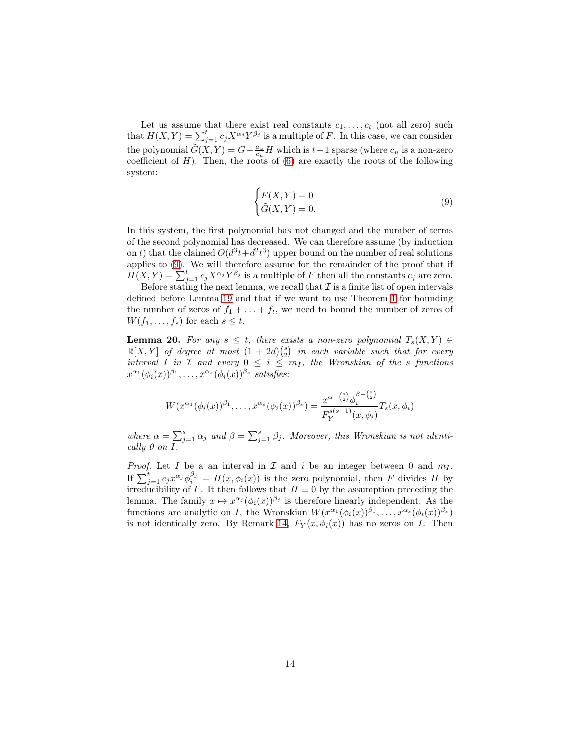Let us assume that there exist real constants  $c_1, \ldots, c_t$  (not all zero) such that  $H(X,Y) = \sum_{j=1}^{t} c_j X^{\alpha_j} Y^{\beta_j}$  is a multiple of F. In this case, we can consider the polynomial  $\tilde{G}(X,Y) = G - \frac{a_u}{c_u} H$  which is  $t-1$  sparse (where  $c_u$  is a non-zero coefficient of  $H$ ). Then, the roots of  $(6)$  are exactly the roots of the following system:

<span id="page-13-1"></span>
$$
\begin{cases} F(X,Y) = 0\\ \tilde{G}(X,Y) = 0. \end{cases} \tag{9}
$$

In this system, the first polynomial has not changed and the number of terms of the second polynomial has decreased. We can therefore assume (by induction on t) that the claimed  $O(d^3t+d^2t^3)$  upper bound on the number of real solutions applies to [\(9\)](#page-13-1). We will therefore assume for the remainder of the proof that if  $H(X,Y) = \sum_{j=1}^{t} c_j X^{\alpha_j} Y^{\beta_j}$  is a multiple of F then all the constants  $c_j$  are zero.

Before stating the next lemma, we recall that  $\mathcal I$  is a finite list of open intervals defined before Lemma [19](#page-12-0) and that if we want to use Theorem [1](#page-2-0) for bounding the number of zeros of  $f_1 + \ldots + f_t$ , we need to bound the number of zeros of  $W(f_1,\ldots,f_s)$  for each  $s\leq t$ .

<span id="page-13-0"></span>**Lemma 20.** For any  $s \leq t$ , there exists a non-zero polynomial  $T_s(X, Y) \in$  $\mathbb{R}[X,Y]$  of degree at most  $(1+2d){s \choose 2}$  in each variable such that for every interval I in  $\mathcal I$  and every  $0 \leq i \leq m_I$ , the Wronskian of the s functions  $x^{\alpha_1}(\phi_i(x))^{\beta_1}, \ldots, x^{\alpha_s}(\phi_i(x))^{\beta_s}$  satisfies:

$$
W(x^{\alpha_1}(\phi_i(x))^{\beta_1}, \dots, x^{\alpha_s}(\phi_i(x))^{\beta_s}) = \frac{x^{\alpha - \binom{s}{2}} \phi_i^{\beta - \binom{s}{2}}}{F_Y^{s(s-1)}(x, \phi_i)} T_s(x, \phi_i)
$$

where  $\alpha = \sum_{j=1}^{s} \alpha_j$  and  $\beta = \sum_{j=1}^{s} \beta_j$ . Moreover, this Wronskian is not identically 0 on I.

*Proof.* Let I be a an interval in  $\mathcal I$  and i be an integer between 0 and  $m_I$ . If  $\sum_{j=1}^t c_j x^{\alpha_j} \phi_i^{\beta_j} = H(x, \phi_i(x))$  is the zero polynomial, then F divides H by irreducibility of F. It then follows that  $H \equiv 0$  by the assumption preceding the lemma. The family  $x \mapsto x^{\alpha_j} (\phi_i(x))^{\beta_j}$  is therefore linearly independent. As the functions are analytic on I, the Wronskian  $W(x^{\alpha_1}(\phi_i(x))^{\beta_1}, \ldots, x^{\alpha_s}(\phi_i(x))^{\beta_s})$ is not identically zero. By Remark [14,](#page-10-6)  $F_Y(x, \phi_i(x))$  has no zeros on I. Then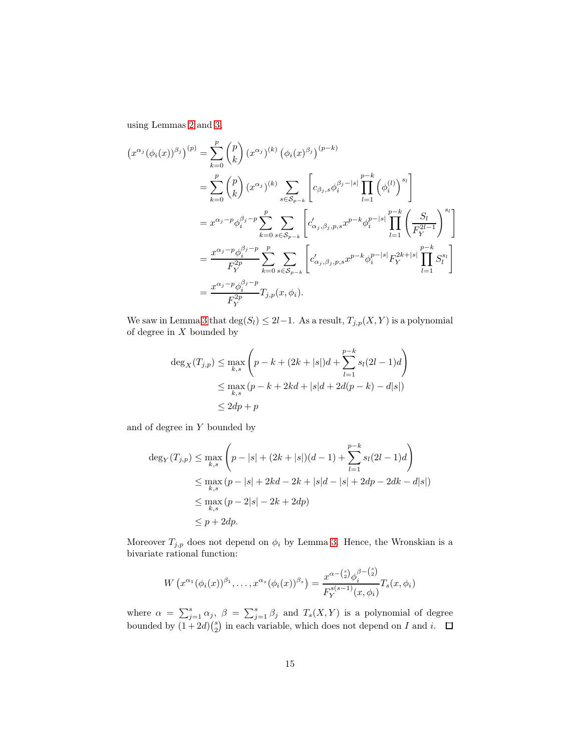using Lemmas [2](#page-3-0) and [3,](#page-4-2)

$$
(x^{\alpha_j}(\phi_i(x))^{\beta_j})^{(p)} = \sum_{k=0}^p {p \choose k} (x^{\alpha_j})^{(k)} (\phi_i(x)^{\beta_j})^{(p-k)}
$$
  
\n
$$
= \sum_{k=0}^p {p \choose k} (x^{\alpha_j})^{(k)} \sum_{s \in S_{p-k}} \left[ c_{\beta_j,s} \phi_i^{\beta_j - |s|} \prod_{l=1}^{p-k} (\phi_i^{(l)})^{s_l} \right]
$$
  
\n
$$
= x^{\alpha_j - p} \phi_i^{\beta_j - p} \sum_{k=0}^p \sum_{s \in S_{p-k}} \left[ c'_{\alpha_j,\beta_j,p,s} x^{p-k} \phi_i^{p-|s|} \prod_{l=1}^{p-k} \left( \frac{S_l}{F_Y^{2l-1}} \right)^{s_l} \right]
$$
  
\n
$$
= \frac{x^{\alpha_j - p} \phi_i^{\beta_j - p}}{F_Y^{2p}} \sum_{k=0}^p \sum_{s \in S_{p-k}} \left[ c'_{\alpha_j,\beta_j,p,s} x^{p-k} \phi_i^{p-|s|} F_Y^{2k+|s|} \prod_{l=1}^{p-k} S_l^{s_l} \right]
$$
  
\n
$$
= \frac{x^{\alpha_j - p} \phi_i^{\beta_j - p}}{F_Y^{2p}} T_{j,p}(x, \phi_i).
$$

We saw in Lemma [3](#page-4-2) that  $\deg(S_l) \leq 2l-1$ . As a result,  $T_{j,p}(X, Y)$  is a polynomial of degree in  $X$  bounded by

$$
\deg_X(T_{j,p}) \le \max_{k,s} \left( p - k + (2k + |s|)d + \sum_{l=1}^{p-k} s_l(2l - 1)d \right)
$$
  

$$
\le \max_{k,s} (p - k + 2kd + |s|d + 2d(p - k) - d|s|)
$$
  

$$
\le 2dp + p
$$

and of degree in  $\boldsymbol{Y}$  bounded by

$$
\deg_Y(T_{j,p}) \le \max_{k,s} \left( p - |s| + (2k + |s|)(d - 1) + \sum_{l=1}^{p-k} s_l (2l - 1)d \right)
$$
  
\n
$$
\le \max_{k,s} (p - |s| + 2kd - 2k + |s|d - |s| + 2dp - 2dk - d|s|)
$$
  
\n
$$
\le \max_{k,s} (p - 2|s| - 2k + 2dp)
$$
  
\n
$$
\le p + 2dp.
$$

Moreover  $T_{j,p}$  does not depend on  $\phi_i$  by Lemma [3.](#page-4-2) Hence, the Wronskian is a bivariate rational function:

$$
W\left(x^{\alpha_1}(\phi_i(x))^{\beta_1}, \ldots, x^{\alpha_s}(\phi_i(x))^{\beta_s}\right) = \frac{x^{\alpha - \binom{s}{2}} \phi_i^{\beta - \binom{s}{2}}}{F_Y^{s(s-1)}(x, \phi_i)} T_s(x, \phi_i)
$$

where  $\alpha = \sum_{j=1}^s \alpha_j$ ,  $\beta = \sum_{j=1}^s \beta_j$  and  $T_s(X, Y)$  is a polynomial of degree bounded by  $(1+2d)\binom{s}{2}$  in each variable, which does not depend on I and i.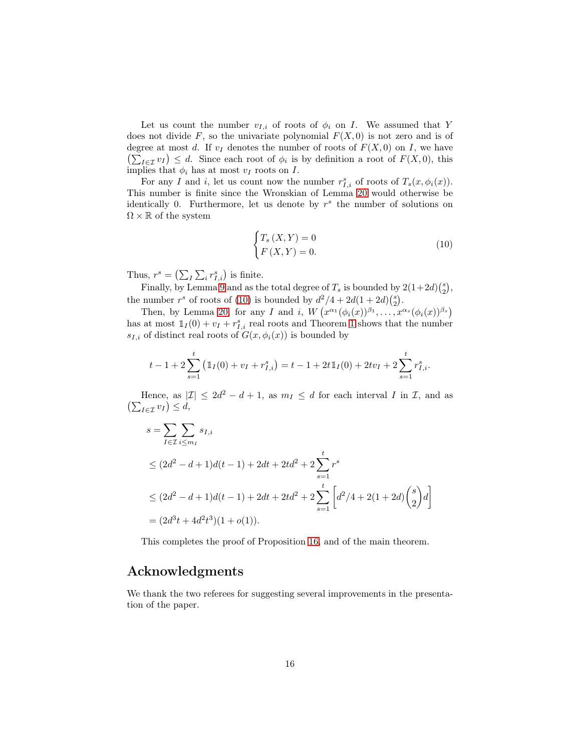Let us count the number  $v_{I,i}$  of roots of  $\phi_i$  on I. We assumed that Y does not divide F, so the univariate polynomial  $F(X, 0)$  is not zero and is of degree at most d. If  $v_I$  denotes the number of roots of  $F(X, 0)$  on I, we have  $\left(\sum_{I\in\mathcal{I}}v_I\right)\leq d.$  Since each root of  $\phi_i$  is by definition a root of  $F(X,0)$ , this implies that  $\phi_i$  has at most  $v_I$  roots on  $I$ .

For any I and i, let us count now the number  $r_{I,i}^s$  of roots of  $T_s(x, \phi_i(x))$ . This number is finite since the Wronskian of Lemma [20](#page-13-0) would otherwise be identically 0. Furthermore, let us denote by  $r^s$  the number of solutions on  $\Omega \times \mathbb{R}$  of the system

<span id="page-15-0"></span>
$$
\begin{cases}\nT_s(X,Y) = 0\\
F(X,Y) = 0.\n\end{cases} \tag{10}
$$

Thus,  $r^s = \left(\sum_l \sum_i r^s_{I,i}\right)$  is finite.

Finally, by Lemma [9](#page-8-0) and as the total degree of  $T_s$  is bounded by  $2(1+2d)\binom{s}{2}$ , the number  $r^s$  of roots of [\(10\)](#page-15-0) is bounded by  $d^2/4 + 2d(1+2d)(\frac{s}{2})$ .

Then, by Lemma [20,](#page-13-0) for any I and i,  $W(x^{\alpha_1}(\phi_i(x))^{\beta_1}, \ldots, x^{\alpha_s}(\phi_i(x))^{\beta_s})$ has at most  $1_I(0) + v_I + r_{I,i}^s$  real roots and Theorem [1](#page-2-0) shows that the number  $s_{I,i}$  of distinct real roots of  $G(x, \phi_i(x))$  is bounded by

$$
t-1+2\sum_{s=1}^{t} (\mathbb{1}_{I}(0)+v_{I}+r_{I,i}^{s})=t-1+2t\mathbb{1}_{I}(0)+2tv_{I}+2\sum_{s=1}^{t} r_{I,i}^{s}.
$$

Hence, as  $|\mathcal{I}| \leq 2d^2 - d + 1$ , as  $m_I \leq d$  for each interval I in I, and as  $\left(\sum_{I\in\mathcal{I}}v_I\right)\leq d,$ 

$$
s = \sum_{I \in \mathcal{I}} \sum_{i \le m_I} s_{I,i}
$$
  
\n
$$
\le (2d^2 - d + 1)d(t - 1) + 2dt + 2td^2 + 2\sum_{s=1}^t r^s
$$
  
\n
$$
\le (2d^2 - d + 1)d(t - 1) + 2dt + 2td^2 + 2\sum_{s=1}^t \left[ d^2/4 + 2(1 + 2d) \binom{s}{2} d \right]
$$
  
\n
$$
= (2d^3t + 4d^2t^3)(1 + o(1)).
$$

This completes the proof of Proposition [16,](#page-10-3) and of the main theorem.

# Acknowledgments

We thank the two referees for suggesting several improvements in the presentation of the paper.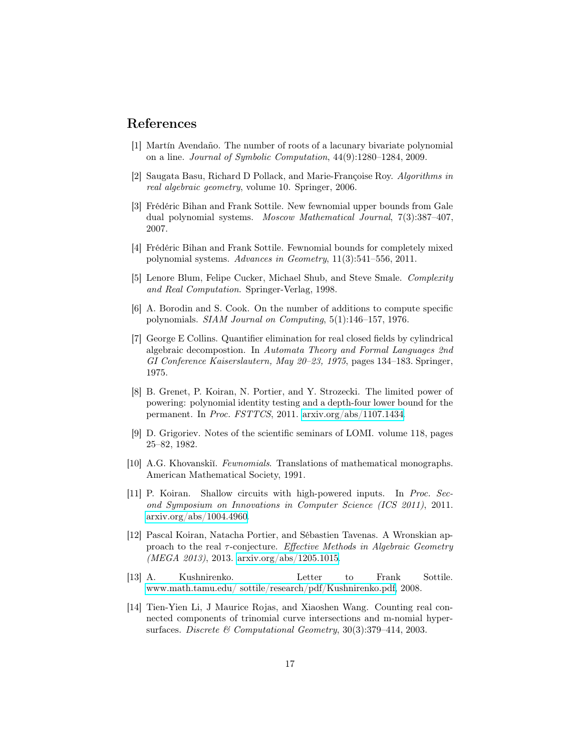## <span id="page-16-5"></span>References

- [1] Martín Avendaño. The number of roots of a lacunary bivariate polynomial on a line. Journal of Symbolic Computation, 44(9):1280–1284, 2009.
- <span id="page-16-12"></span><span id="page-16-1"></span>[2] Saugata Basu, Richard D Pollack, and Marie-Françoise Roy. Algorithms in real algebraic geometry, volume 10. Springer, 2006.
- [3] Frédéric Bihan and Frank Sottile. New fewnomial upper bounds from Gale dual polynomial systems. Moscow Mathematical Journal, 7(3):387–407, 2007.
- <span id="page-16-11"></span><span id="page-16-2"></span>[4] Frédéric Bihan and Frank Sottile. Fewnomial bounds for completely mixed polynomial systems. Advances in Geometry, 11(3):541–556, 2011.
- [5] Lenore Blum, Felipe Cucker, Michael Shub, and Steve Smale. Complexity and Real Computation. Springer-Verlag, 1998.
- <span id="page-16-9"></span>[6] A. Borodin and S. Cook. On the number of additions to compute specific polynomials. SIAM Journal on Computing, 5(1):146–157, 1976.
- <span id="page-16-13"></span>[7] George E Collins. Quantifier elimination for real closed fields by cylindrical algebraic decompostion. In Automata Theory and Formal Languages 2nd GI Conference Kaiserslautern, May 20–23, 1975, pages 134–183. Springer, 1975.
- <span id="page-16-8"></span>[8] B. Grenet, P. Koiran, N. Portier, and Y. Strozecki. The limited power of powering: polynomial identity testing and a depth-four lower bound for the permanent. In Proc. FSTTCS, 2011. [arxiv.org/abs/1107.1434.](http://arxiv.org/abs/1107.1434)
- <span id="page-16-10"></span>[9] D. Grigoriev. Notes of the scientific seminars of LOMI. volume 118, pages 25–82, 1982.
- <span id="page-16-0"></span>[10] A.G. Khovanskiı̆. Fewnomials. Translations of mathematical monographs. American Mathematical Society, 1991.
- <span id="page-16-7"></span>[11] P. Koiran. Shallow circuits with high-powered inputs. In Proc. Second Symposium on Innovations in Computer Science (ICS 2011), 2011. [arxiv.org/abs/1004.4960.](http://arxiv.org/abs/1004.4960)
- <span id="page-16-6"></span>[12] Pascal Koiran, Natacha Portier, and Sébastien Tavenas. A Wronskian approach to the real  $\tau$ -conjecture. Effective Methods in Algebraic Geometry (MEGA 2013), 2013. [arxiv.org/abs/1205.1015.](http://arxiv.org/abs/1205.1015)
- <span id="page-16-3"></span>[13] A. Kushnirenko. Letter to Frank Sottile. [www.math.tamu.edu/ sottile/research/pdf/Kushnirenko.pdf,](http://www.math.tamu.edu/~sottile/research/pdf/Kushnirenko.pdf) 2008.
- <span id="page-16-4"></span>[14] Tien-Yien Li, J Maurice Rojas, and Xiaoshen Wang. Counting real connected components of trinomial curve intersections and m-nomial hypersurfaces. Discrete & Computational Geometry, 30(3):379-414, 2003.